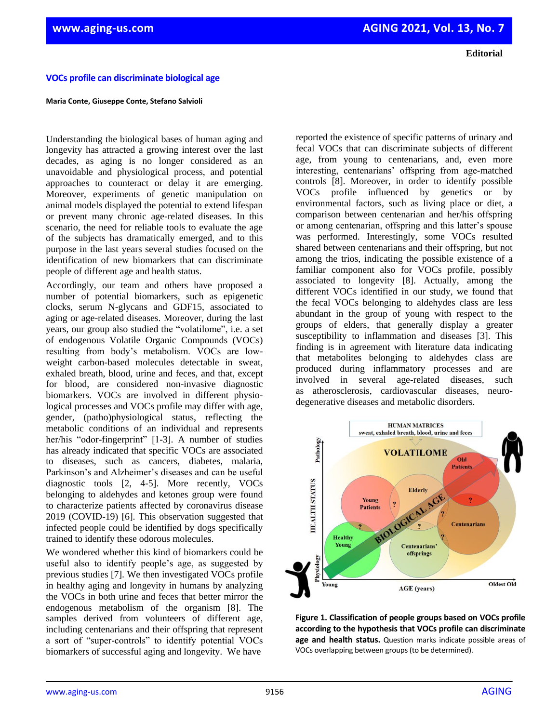**Editorial**

## **VOCs profile can discriminate biological age**

## **Maria Conte, Giuseppe Conte, Stefano Salvioli**

Understanding the biological bases of human aging and longevity has attracted a growing interest over the last decades, as aging is no longer considered as an unavoidable and physiological process, and potential approaches to counteract or delay it are emerging. Moreover, experiments of genetic manipulation on animal models displayed the potential to extend lifespan or prevent many chronic age-related diseases. In this scenario, the need for reliable tools to evaluate the age of the subjects has dramatically emerged, and to this purpose in the last years several studies focused on the identification of new biomarkers that can discriminate people of different age and health status.

Accordingly, our team and others have proposed a number of potential biomarkers, such as epigenetic clocks, serum N-glycans and GDF15, associated to aging or age-related diseases. Moreover, during the last years, our group also studied the "volatilome", i.e. a set of endogenous Volatile Organic Compounds (VOCs) resulting from body's metabolism. VOCs are lowweight carbon-based molecules detectable in sweat, exhaled breath, blood, urine and feces, and that, except for blood, are considered non-invasive diagnostic biomarkers. VOCs are involved in different physiological processes and VOCs profile may differ with age, gender, (patho)physiological status, reflecting the metabolic conditions of an individual and represents her/his "odor-fingerprint" [1-3]. A number of studies has already indicated that specific VOCs are associated to diseases, such as cancers, diabetes, malaria, Parkinson's and Alzheimer's diseases and can be useful diagnostic tools [2, 4-5]. More recently, VOCs belonging to aldehydes and ketones group were found to characterize patients affected by coronavirus disease 2019 (COVID-19) [6]. This observation suggested that infected people could be identified by dogs specifically trained to identify these odorous molecules.

We wondered whether this kind of biomarkers could be useful also to identify people's age, as suggested by previous studies [7]. We then investigated VOCs profile in healthy aging and longevity in humans by analyzing the VOCs in both urine and feces that better mirror the endogenous metabolism of the organism [8]. The samples derived from volunteers of different age, including centenarians and their offspring that represent a sort of "super-controls" to identify potential VOCs biomarkers of successful aging and longevity. We have

reported the existence of specific patterns of urinary and fecal VOCs that can discriminate subjects of different age, from young to centenarians, and, even more interesting, centenarians' offspring from age-matched controls [8]. Moreover, in order to identify possible VOCs profile influenced by genetics or by environmental factors, such as living place or diet, a comparison between centenarian and her/his offspring or among centenarian, offspring and this latter's spouse was performed. Interestingly, some VOCs resulted shared between centenarians and their offspring, but not among the trios, indicating the possible existence of a familiar component also for VOCs profile, possibly associated to longevity [8]. Actually, among the different VOCs identified in our study, we found that the fecal VOCs belonging to aldehydes class are less abundant in the group of young with respect to the groups of elders, that generally display a greater susceptibility to inflammation and diseases [3]. This finding is in agreement with literature data indicating that metabolites belonging to aldehydes class are produced during inflammatory processes and are involved in several age-related diseases, such as atherosclerosis, cardiovascular diseases, neurodegenerative diseases and metabolic disorders.



**Figure 1. Classification of people groups based on VOCs profile according to the hypothesis that VOCs profile can discriminate age and health status.** Question marks indicate possible areas of VOCs overlapping between groups (to be determined).